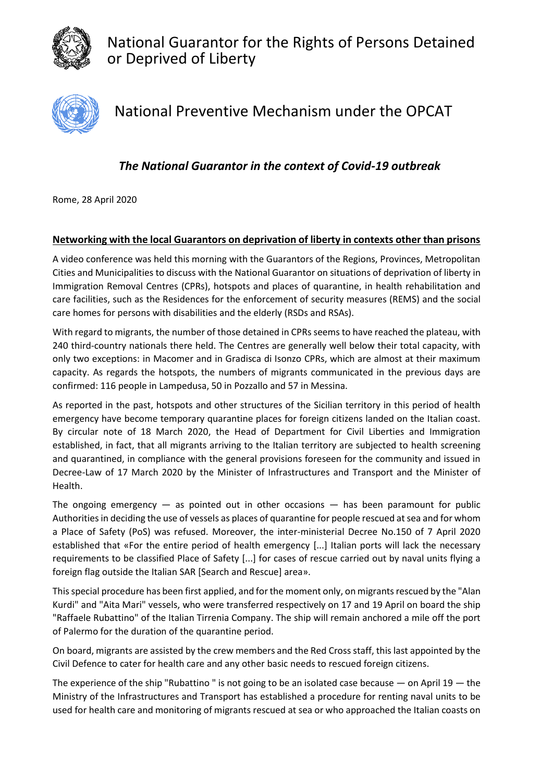

National Guarantor for the Rights of Persons Detained or Deprived of Liberty



National Preventive Mechanism under the OPCAT

## *The National Guarantor in the context of Covid-19 outbreak*

Rome, 28 April 2020

## **Networking with the local Guarantors on deprivation of liberty in contexts other than prisons**

A video conference was held this morning with the Guarantors of the Regions, Provinces, Metropolitan Cities and Municipalities to discuss with the National Guarantor on situations of deprivation of liberty in Immigration Removal Centres (CPRs), hotspots and places of quarantine, in health rehabilitation and care facilities, such as the Residences for the enforcement of security measures (REMS) and the social care homes for persons with disabilities and the elderly (RSDs and RSAs).

With regard to migrants, the number of those detained in CPRs seems to have reached the plateau, with 240 third-country nationals there held. The Centres are generally well below their total capacity, with only two exceptions: in Macomer and in Gradisca di Isonzo CPRs, which are almost at their maximum capacity. As regards the hotspots, the numbers of migrants communicated in the previous days are confirmed: 116 people in Lampedusa, 50 in Pozzallo and 57 in Messina.

As reported in the past, hotspots and other structures of the Sicilian territory in this period of health emergency have become temporary quarantine places for foreign citizens landed on the Italian coast. By circular note of 18 March 2020, the Head of Department for Civil Liberties and Immigration established, in fact, that all migrants arriving to the Italian territory are subjected to health screening and quarantined, in compliance with the general provisions foreseen for the community and issued in Decree-Law of 17 March 2020 by the Minister of Infrastructures and Transport and the Minister of Health.

The ongoing emergency  $-$  as pointed out in other occasions  $-$  has been paramount for public Authorities in deciding the use of vessels as places of quarantine for people rescued at sea and for whom a Place of Safety (PoS) was refused. Moreover, the inter-ministerial Decree No.150 of 7 April 2020 established that «For the entire period of health emergency [...] Italian ports will lack the necessary requirements to be classified Place of Safety [...] for cases of rescue carried out by naval units flying a foreign flag outside the Italian SAR [Search and Rescue] area».

This special procedure has been first applied, and for the moment only, on migrants rescued by the "Alan Kurdi" and "Aita Mari" vessels, who were transferred respectively on 17 and 19 April on board the ship "Raffaele Rubattino" of the Italian Tirrenia Company. The ship will remain anchored a mile off the port of Palermo for the duration of the quarantine period.

On board, migrants are assisted by the crew members and the Red Cross staff, this last appointed by the Civil Defence to cater for health care and any other basic needs to rescued foreign citizens.

The experience of the ship "Rubattino " is not going to be an isolated case because — on April 19 — the Ministry of the Infrastructures and Transport has established a procedure for renting naval units to be used for health care and monitoring of migrants rescued at sea or who approached the Italian coasts on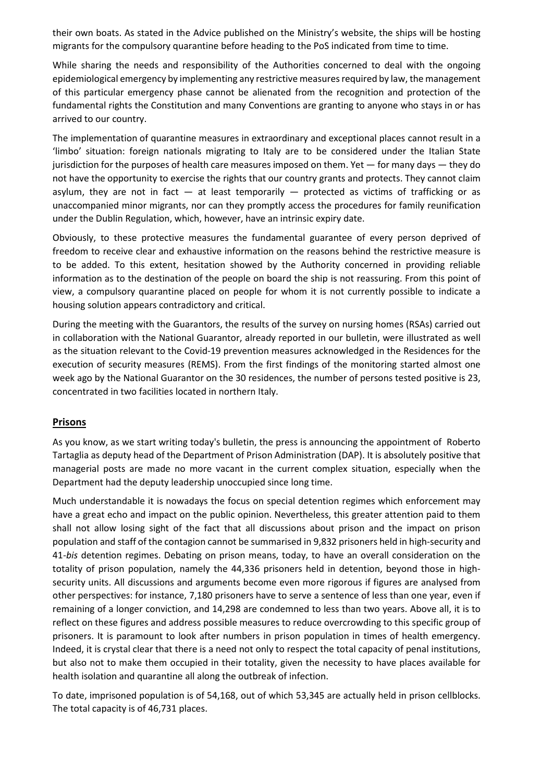their own boats. As stated in the Advice published on the Ministry's website, the ships will be hosting migrants for the compulsory quarantine before heading to the PoS indicated from time to time.

While sharing the needs and responsibility of the Authorities concerned to deal with the ongoing epidemiological emergency by implementing any restrictive measures required by law, the management of this particular emergency phase cannot be alienated from the recognition and protection of the fundamental rights the Constitution and many Conventions are granting to anyone who stays in or has arrived to our country.

The implementation of quarantine measures in extraordinary and exceptional places cannot result in a 'limbo' situation: foreign nationals migrating to Italy are to be considered under the Italian State jurisdiction for the purposes of health care measures imposed on them. Yet — for many days — they do not have the opportunity to exercise the rights that our country grants and protects. They cannot claim asylum, they are not in fact  $-$  at least temporarily  $-$  protected as victims of trafficking or as unaccompanied minor migrants, nor can they promptly access the procedures for family reunification under the Dublin Regulation, which, however, have an intrinsic expiry date.

Obviously, to these protective measures the fundamental guarantee of every person deprived of freedom to receive clear and exhaustive information on the reasons behind the restrictive measure is to be added. To this extent, hesitation showed by the Authority concerned in providing reliable information as to the destination of the people on board the ship is not reassuring. From this point of view, a compulsory quarantine placed on people for whom it is not currently possible to indicate a housing solution appears contradictory and critical.

During the meeting with the Guarantors, the results of the survey on nursing homes (RSAs) carried out in collaboration with the National Guarantor, already reported in our bulletin, were illustrated as well as the situation relevant to the Covid-19 prevention measures acknowledged in the Residences for the execution of security measures (REMS). From the first findings of the monitoring started almost one week ago by the National Guarantor on the 30 residences, the number of persons tested positive is 23, concentrated in two facilities located in northern Italy.

## **Prisons**

As you know, as we start writing today's bulletin, the press is announcing the appointment of Roberto Tartaglia as deputy head of the Department of Prison Administration (DAP). It is absolutely positive that managerial posts are made no more vacant in the current complex situation, especially when the Department had the deputy leadership unoccupied since long time.

Much understandable it is nowadays the focus on special detention regimes which enforcement may have a great echo and impact on the public opinion. Nevertheless, this greater attention paid to them shall not allow losing sight of the fact that all discussions about prison and the impact on prison population and staff of the contagion cannot be summarised in 9,832 prisoners held in high-security and 41-*bis* detention regimes. Debating on prison means, today, to have an overall consideration on the totality of prison population, namely the 44,336 prisoners held in detention, beyond those in highsecurity units. All discussions and arguments become even more rigorous if figures are analysed from other perspectives: for instance, 7,180 prisoners have to serve a sentence of less than one year, even if remaining of a longer conviction, and 14,298 are condemned to less than two years. Above all, it is to reflect on these figures and address possible measures to reduce overcrowding to this specific group of prisoners. It is paramount to look after numbers in prison population in times of health emergency. Indeed, it is crystal clear that there is a need not only to respect the total capacity of penal institutions, but also not to make them occupied in their totality, given the necessity to have places available for health isolation and quarantine all along the outbreak of infection.

To date, imprisoned population is of 54,168, out of which 53,345 are actually held in prison cellblocks. The total capacity is of 46,731 places.